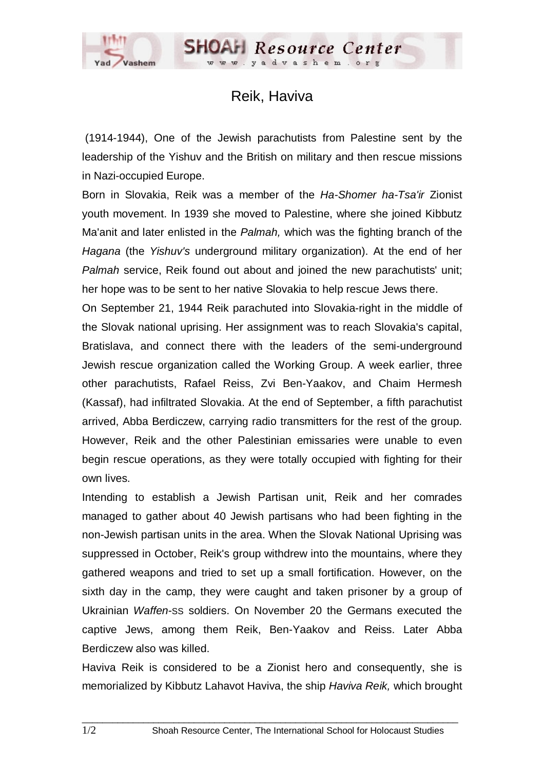## Reik, Haviva

 (1914-1944), One of the Jewish parachutists from Palestine sent by the leadership of the Yishuv and the British on military and then rescue missions in Nazi-occupied Europe.

Born in Slovakia, Reik was a member of the *Ha-Shomer ha-Tsa'ir* Zionist youth movement. In 1939 she moved to Palestine, where she joined Kibbutz Ma'anit and later enlisted in the *Palmah,* which was the fighting branch of the *Hagana* (the *Yishuv's* underground military organization). At the end of her *Palmah* service, Reik found out about and joined the new parachutists' unit; her hope was to be sent to her native Slovakia to help rescue Jews there.

On September 21, 1944 Reik parachuted into Slovakia-right in the middle of the Slovak national uprising. Her assignment was to reach Slovakia's capital, Bratislava, and connect there with the leaders of the semi-underground Jewish rescue organization called the Working Group. A week earlier, three other parachutists, Rafael Reiss, Zvi Ben-Yaakov, and Chaim Hermesh (Kassaf), had infiltrated Slovakia. At the end of September, a fifth parachutist arrived, Abba Berdiczew, carrying radio transmitters for the rest of the group. However, Reik and the other Palestinian emissaries were unable to even begin rescue operations, as they were totally occupied with fighting for their own lives.

Intending to establish a Jewish Partisan unit, Reik and her comrades managed to gather about 40 Jewish partisans who had been fighting in the non-Jewish partisan units in the area. When the Slovak National Uprising was suppressed in October, Reik's group withdrew into the mountains, where they gathered weapons and tried to set up a small fortification. However, on the sixth day in the camp, they were caught and taken prisoner by a group of Ukrainian *Waffen*-SS soldiers. On November 20 the Germans executed the captive Jews, among them Reik, Ben-Yaakov and Reiss. Later Abba Berdiczew also was killed.

Haviva Reik is considered to be a Zionist hero and consequently, she is memorialized by Kibbutz Lahavot Haviva, the ship *Haviva Reik,* which brought

 $\Box$  . The contribution of the contribution of the contribution of the contribution of the contribution of the contribution of the contribution of the contribution of the contribution of the contribution of the contributi